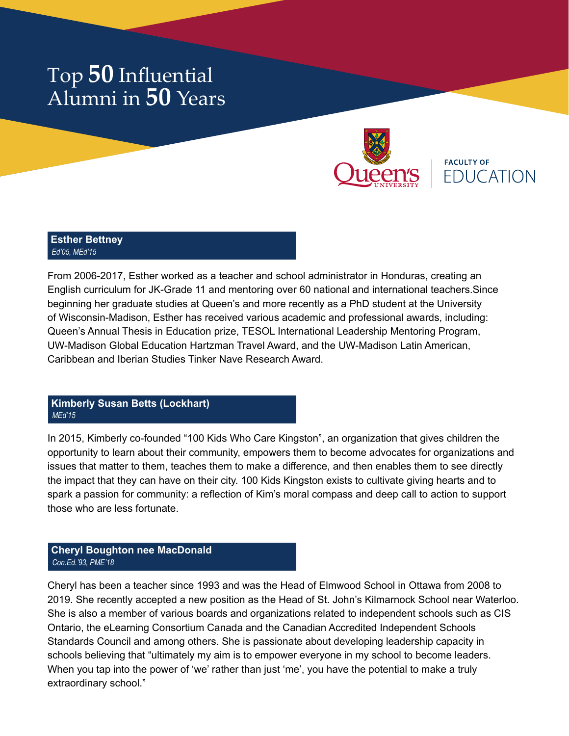

**FACULTY OF** EDUCATION

### **Esther Bettney** *Ed'05, MEd'15*

From 2006-2017, Esther worked as a teacher and school administrator in Honduras, creating an English curriculum for JK-Grade 11 and mentoring over 60 national and international teachers.Since beginning her graduate studies at Queen's and more recently as a PhD student at the University of Wisconsin-Madison, Esther has received various academic and professional awards, including: Queen's Annual Thesis in Education prize, TESOL International Leadership Mentoring Program, UW-Madison Global Education Hartzman Travel Award, and the UW-Madison Latin American, Caribbean and Iberian Studies Tinker Nave Research Award.

## **Kimberly Susan Betts (Lockhart)** *MEd'15*

In 2015, Kimberly co-founded "100 Kids Who Care Kingston", an organization that gives children the opportunity to learn about their community, empowers them to become advocates for organizations and issues that matter to them, teaches them to make a difference, and then enables them to see directly the impact that they can have on their city. 100 Kids Kingston exists to cultivate giving hearts and to spark a passion for community: a reflection of Kim's moral compass and deep call to action to support those who are less fortunate.

## **Cheryl Boughton nee MacDonald** *Con.Ed.'93, PME'18*

Cheryl has been a teacher since 1993 and was the Head of Elmwood School in Ottawa from 2008 to 2019. She recently accepted a new position as the Head of St. John's Kilmarnock School near Waterloo. She is also a member of various boards and organizations related to independent schools such as CIS Ontario, the eLearning Consortium Canada and the Canadian Accredited Independent Schools Standards Council and among others. She is passionate about developing leadership capacity in schools believing that "ultimately my aim is to empower everyone in my school to become leaders. When you tap into the power of 'we' rather than just 'me', you have the potential to make a truly extraordinary school."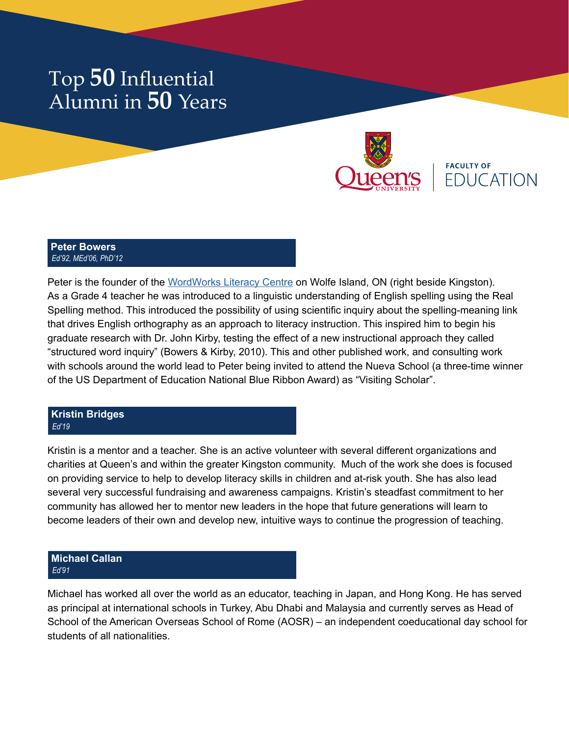

**FACULTY OF EDUCATION** 

### **Peter Bowers** *Ed'92, MEd'06, PhD'12*

Peter is the founder of the [WordWorks Literacy Centre](http://www.wordworkskingston.com/WordWorks/Home.html) on Wolfe Island, ON (right beside Kingston). As a Grade 4 teacher he was introduced to a linguistic understanding of English spelling using the Real Spelling method. This introduced the possibility of using scientific inquiry about the spelling-meaning link that drives English orthography as an approach to literacy instruction. This inspired him to begin his graduate research with Dr. John Kirby, testing the effect of a new instructional approach they called "structured word inquiry" (Bowers & Kirby, 2010). This and other published work, and consulting work with schools around the world lead to Peter being invited to attend the Nueva School (a three-time winner of the US Department of Education National Blue Ribbon Award) as "Visiting Scholar".

#### **Kristin Bridges** *Ed'19*

Kristin is a mentor and a teacher. She is an active volunteer with several different organizations and charities at Queen's and within the greater Kingston community. Much of the work she does is focused on providing service to help to develop literacy skills in children and at-risk youth. She has also lead several very successful fundraising and awareness campaigns. Kristin's steadfast commitment to her community has allowed her to mentor new leaders in the hope that future generations will learn to become leaders of their own and develop new, intuitive ways to continue the progression of teaching.

## **Michael Callan** *Ed'91*

Michael has worked all over the world as an educator, teaching in Japan, and Hong Kong. He has served as principal at international schools in Turkey, Abu Dhabi and Malaysia and currently serves as Head of School of the American Overseas School of Rome (AOSR) – an independent coeducational day school for students of all nationalities.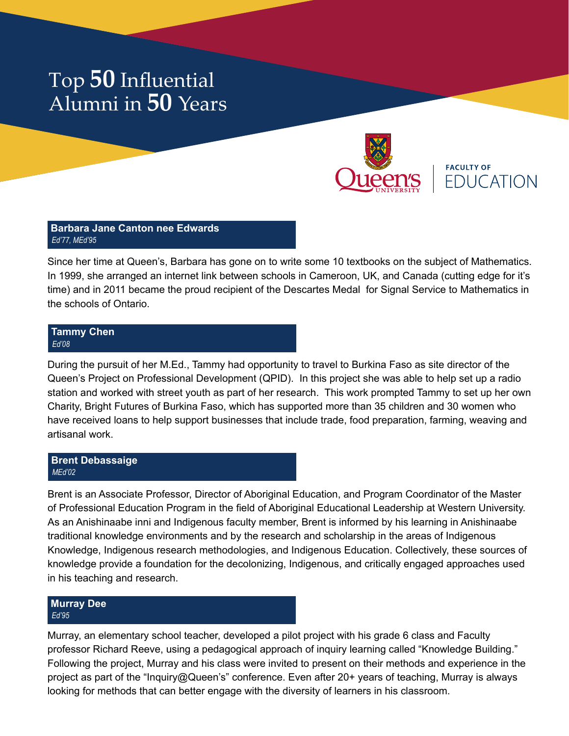

**FACULTY OF FDUCATION** 

### **Barbara Jane Canton nee Edwards** *Ed'77, MEd'95*

Since her time at Queen's, Barbara has gone on to write some 10 textbooks on the subject of Mathematics. In 1999, she arranged an internet link between schools in Cameroon, UK, and Canada (cutting edge for it's time) and in 2011 became the proud recipient of the Descartes Medal for Signal Service to Mathematics in the schools of Ontario.

#### **Tammy Chen** *Ed'08*

During the pursuit of her M.Ed., Tammy had opportunity to travel to Burkina Faso as site director of the Queen's Project on Professional Development (QPID). In this project she was able to help set up a radio station and worked with street youth as part of her research. This work prompted Tammy to set up her own Charity, Bright Futures of Burkina Faso, which has supported more than 35 children and 30 women who have received loans to help support businesses that include trade, food preparation, farming, weaving and artisanal work.

## **Brent Debassaige** *MEd'02*

Brent is an Associate Professor, Director of Aboriginal Education, and Program Coordinator of the Master of Professional Education Program in the field of Aboriginal Educational Leadership at Western University. As an Anishinaabe inni and Indigenous faculty member, Brent is informed by his learning in Anishinaabe traditional knowledge environments and by the research and scholarship in the areas of Indigenous Knowledge, Indigenous research methodologies, and Indigenous Education. Collectively, these sources of knowledge provide a foundation for the decolonizing, Indigenous, and critically engaged approaches used in his teaching and research.

### **Murray Dee** *Ed'95*

Murray, an elementary school teacher, developed a pilot project with his grade 6 class and Faculty professor Richard Reeve, using a pedagogical approach of inquiry learning called "Knowledge Building." Following the project, Murray and his class were invited to present on their methods and experience in the project as part of the "Inquiry@Queen's" conference. Even after 20+ years of teaching, Murray is always looking for methods that can better engage with the diversity of learners in his classroom.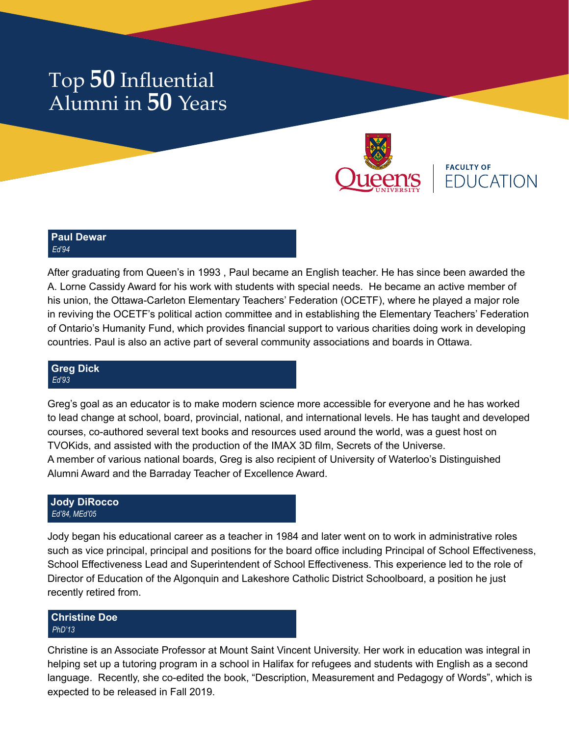

**FACULTY OF EDUCATION** 

### **Paul Dewar** *Ed'94*

After graduating from Queen's in 1993 , Paul became an English teacher. He has since been awarded the A. Lorne Cassidy Award for his work with students with special needs. He became an active member of his union, the Ottawa-Carleton Elementary Teachers' Federation (OCETF), where he played a major role in reviving the OCETF's political action committee and in establishing the Elementary Teachers' Federation of Ontario's Humanity Fund, which provides financial support to various charities doing work in developing countries. Paul is also an active part of several community associations and boards in Ottawa.

#### **Greg Dick** *Ed'93*

Greg's goal as an educator is to make modern science more accessible for everyone and he has worked to lead change at school, board, provincial, national, and international levels. He has taught and developed courses, co-authored several text books and resources used around the world, was a guest host on TVOKids, and assisted with the production of the IMAX 3D film, Secrets of the Universe. A member of various national boards, Greg is also recipient of University of Waterloo's Distinguished Alumni Award and the Barraday Teacher of Excellence Award.

#### **Jody DiRocco** *Ed'84, MEd'05*

Jody began his educational career as a teacher in 1984 and later went on to work in administrative roles such as vice principal, principal and positions for the board office including Principal of School Effectiveness, School Effectiveness Lead and Superintendent of School Effectiveness. This experience led to the role of Director of Education of the Algonquin and Lakeshore Catholic District Schoolboard, a position he just recently retired from.

## **Christine Doe** *PhD'13*

Christine is an Associate Professor at Mount Saint Vincent University. Her work in education was integral in helping set up a tutoring program in a school in Halifax for refugees and students with English as a second language. Recently, she co-edited the book, "Description, Measurement and Pedagogy of Words", which is expected to be released in Fall 2019.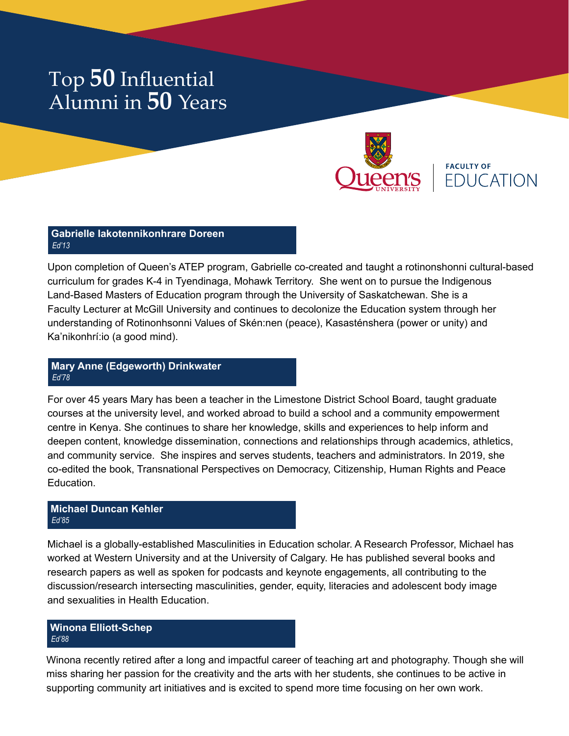

**FACULTY OF EDUCATION** 

#### **Gabrielle Iakotennikonhrare Doreen** *Ed'13*

Upon completion of Queen's ATEP program, Gabrielle co-created and taught a rotinonshonni cultural-based curriculum for grades K-4 in Tyendinaga, Mohawk Territory. She went on to pursue the Indigenous Land-Based Masters of Education program through the University of Saskatchewan. She is a Faculty Lecturer at McGill University and continues to decolonize the Education system through her understanding of Rotinonhsonni Values of Skén:nen (peace), Kasasténshera (power or unity) and Ka'nikonhrí:io (a good mind).

## **Mary Anne (Edgeworth) Drinkwater** *Ed'78*

For over 45 years Mary has been a teacher in the Limestone District School Board, taught graduate courses at the university level, and worked abroad to build a school and a community empowerment centre in Kenya. She continues to share her knowledge, skills and experiences to help inform and deepen content, knowledge dissemination, connections and relationships through academics, athletics, and community service. She inspires and serves students, teachers and administrators. In 2019, she co-edited the book, Transnational Perspectives on Democracy, Citizenship, Human Rights and Peace **Education** 

## **Michael Duncan Kehler** *Ed'85*

Michael is a globally-established Masculinities in Education scholar. A Research Professor, Michael has worked at Western University and at the University of Calgary. He has published several books and research papers as well as spoken for podcasts and keynote engagements, all contributing to the discussion/research intersecting masculinities, gender, equity, literacies and adolescent body image and sexualities in Health Education.

## **Winona Elliott-Schep** *Ed'88*

Winona recently retired after a long and impactful career of teaching art and photography. Though she will miss sharing her passion for the creativity and the arts with her students, she continues to be active in supporting community art initiatives and is excited to spend more time focusing on her own work.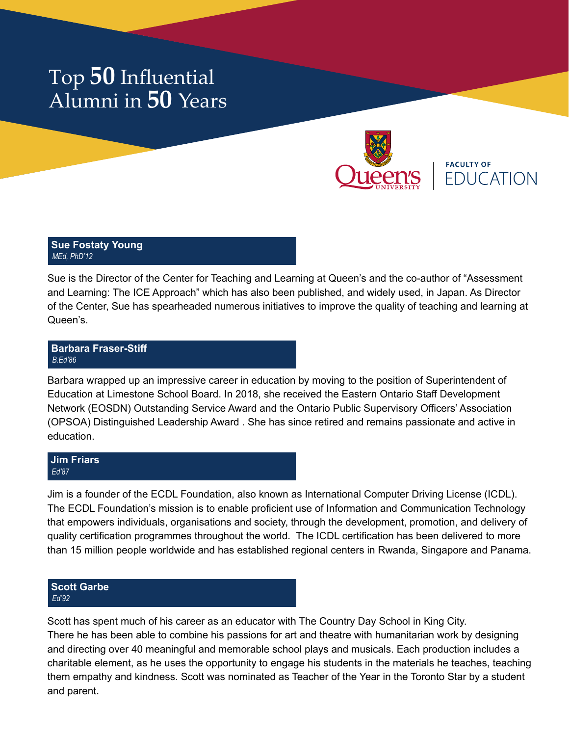

**FACULTY OF FDUCATION** 

#### **Sue Fostaty Young** *MEd, PhD'12*

Sue is the Director of the Center for Teaching and Learning at Queen's and the co-author of "Assessment and Learning: The ICE Approach" which has also been published, and widely used, in Japan. As Director of the Center, Sue has spearheaded numerous initiatives to improve the quality of teaching and learning at Queen's.

## **Barbara Fraser-Stiff** *B.Ed'86*

Barbara wrapped up an impressive career in education by moving to the position of Superintendent of Education at Limestone School Board. In 2018, she received the Eastern Ontario Staff Development Network (EOSDN) Outstanding Service Award and the Ontario Public Supervisory Officers' Association (OPSOA) Distinguished Leadership Award . She has since retired and remains passionate and active in education.

#### **Jim Friars** *Ed'87*

Jim is a founder of the ECDL Foundation, also known as International Computer Driving License (ICDL). The ECDL Foundation's mission is to enable proficient use of Information and Communication Technology that empowers individuals, organisations and society, through the development, promotion, and delivery of quality certification programmes throughout the world. The ICDL certification has been delivered to more than 15 million people worldwide and has established regional centers in Rwanda, Singapore and Panama.

## **Scott Garbe** *Ed'92*

Scott has spent much of his career as an educator with The Country Day School in King City. There he has been able to combine his passions for art and theatre with humanitarian work by designing and directing over 40 meaningful and memorable school plays and musicals. Each production includes a charitable element, as he uses the opportunity to engage his students in the materials he teaches, teaching them empathy and kindness. Scott was nominated as Teacher of the Year in the Toronto Star by a student and parent.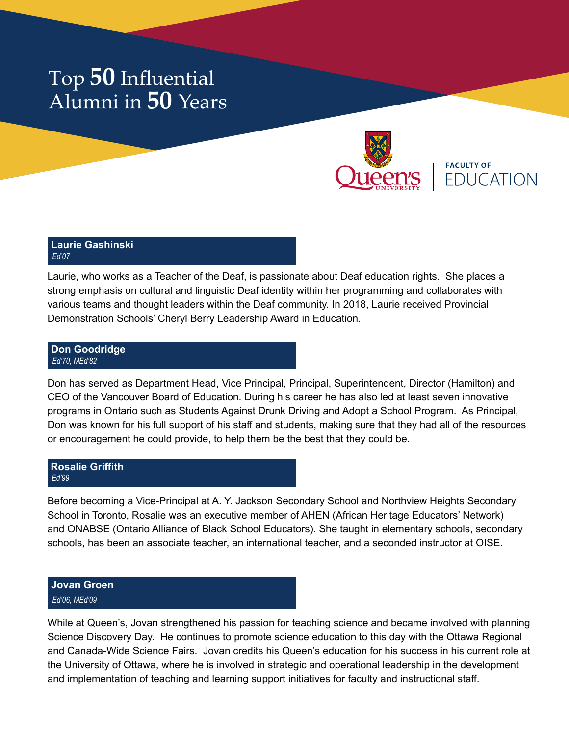

**FACULTY OF EDUCATION** 

#### **Laurie Gashinski** *Ed'07*

Laurie, who works as a Teacher of the Deaf, is passionate about Deaf education rights. She places a strong emphasis on cultural and linguistic Deaf identity within her programming and collaborates with various teams and thought leaders within the Deaf community. In 2018, Laurie received Provincial Demonstration Schools' Cheryl Berry Leadership Award in Education.

#### **Don Goodridge** *Ed'70, MEd'82*

Don has served as Department Head, Vice Principal, Principal, Superintendent, Director (Hamilton) and CEO of the Vancouver Board of Education. During his career he has also led at least seven innovative programs in Ontario such as Students Against Drunk Driving and Adopt a School Program. As Principal, Don was known for his full support of his staff and students, making sure that they had all of the resources or encouragement he could provide, to help them be the best that they could be.

### **Rosalie Griffith** *Ed'99*

Before becoming a Vice-Principal at A. Y. Jackson Secondary School and Northview Heights Secondary School in Toronto, Rosalie was an executive member of AHEN (African Heritage Educators' Network) and ONABSE (Ontario Alliance of Black School Educators). She taught in elementary schools, secondary schools, has been an associate teacher, an international teacher, and a seconded instructor at OISE.

## **Jovan Groen** *Ed'06, MEd'09*

While at Queen's, Jovan strengthened his passion for teaching science and became involved with planning Science Discovery Day. He continues to promote science education to this day with the Ottawa Regional and Canada-Wide Science Fairs. Jovan credits his Queen's education for his success in his current role at the University of Ottawa, where he is involved in strategic and operational leadership in the development and implementation of teaching and learning support initiatives for faculty and instructional staff.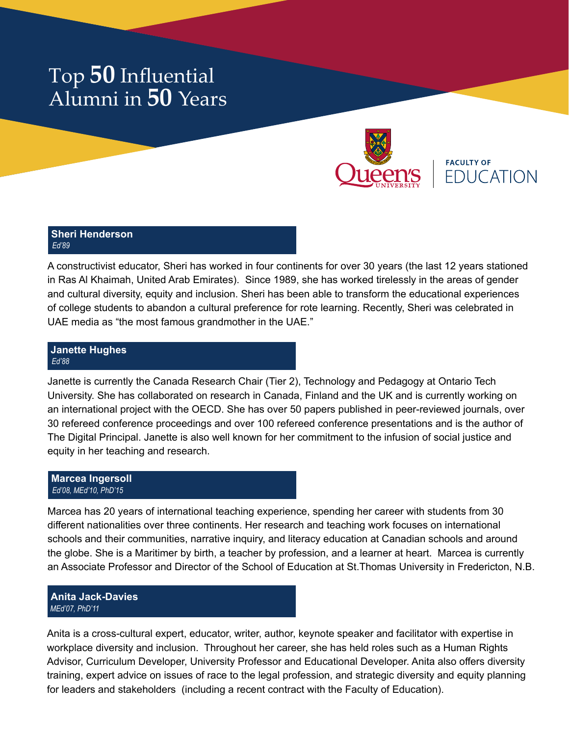

**FACULTY OF FDUCATION** 

#### **Sheri Henderson** *Ed'89*

A constructivist educator, Sheri has worked in four continents for over 30 years (the last 12 years stationed in Ras Al Khaimah, United Arab Emirates). Since 1989, she has worked tirelessly in the areas of gender and cultural diversity, equity and inclusion. Sheri has been able to transform the educational experiences of college students to abandon a cultural preference for rote learning. Recently, Sheri was celebrated in UAE media as "the most famous grandmother in the UAE."

#### **Janette Hughes** *Ed'88*

Janette is currently the Canada Research Chair (Tier 2), Technology and Pedagogy at Ontario Tech University. She has collaborated on research in Canada, Finland and the UK and is currently working on an international project with the OECD. She has over 50 papers published in peer-reviewed journals, over 30 refereed conference proceedings and over 100 refereed conference presentations and is the author of The Digital Principal. Janette is also well known for her commitment to the infusion of social justice and equity in her teaching and research.

### **Marcea Ingersoll** *Ed'08, MEd'10, PhD'15*

Marcea has 20 years of international teaching experience, spending her career with students from 30 different nationalities over three continents. Her research and teaching work focuses on international schools and their communities, narrative inquiry, and literacy education at Canadian schools and around the globe. She is a Maritimer by birth, a teacher by profession, and a learner at heart. Marcea is currently an Associate Professor and Director of the School of Education at St.Thomas University in Fredericton, N.B.

## **Anita Jack-Davies** *MEd'07, PhD'11*

Anita is a cross-cultural expert, educator, writer, author, keynote speaker and facilitator with expertise in workplace diversity and inclusion. Throughout her career, she has held roles such as a Human Rights Advisor, Curriculum Developer, University Professor and Educational Developer. Anita also offers diversity training, expert advice on issues of race to the legal profession, and strategic diversity and equity planning for leaders and stakeholders (including a recent contract with the Faculty of Education).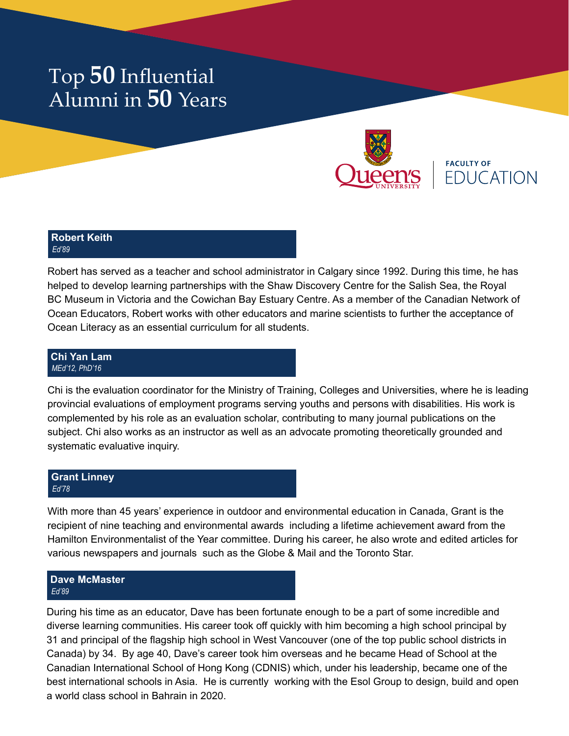

**FACULTY OF FDUCATION** 

### **Robert Keith** *Ed'89*

Robert has served as a teacher and school administrator in Calgary since 1992. During this time, he has helped to develop learning partnerships with the Shaw Discovery Centre for the Salish Sea, the Royal BC Museum in Victoria and the Cowichan Bay Estuary Centre. As a member of the Canadian Network of Ocean Educators, Robert works with other educators and marine scientists to further the acceptance of Ocean Literacy as an essential curriculum for all students.

#### **Chi Yan Lam** *MEd'12, PhD'16*

Chi is the evaluation coordinator for the Ministry of Training, Colleges and Universities, where he is leading provincial evaluations of employment programs serving youths and persons with disabilities. His work is complemented by his role as an evaluation scholar, contributing to many journal publications on the subject. Chi also works as an instructor as well as an advocate promoting theoretically grounded and systematic evaluative inquiry.

### **Grant Linney** *Ed'78*

With more than 45 years' experience in outdoor and environmental education in Canada, Grant is the recipient of nine teaching and environmental awards including a lifetime achievement award from the Hamilton Environmentalist of the Year committee. During his career, he also wrote and edited articles for various newspapers and journals such as the Globe & Mail and the Toronto Star.

## **Dave McMaster** *Ed'89*

During his time as an educator, Dave has been fortunate enough to be a part of some incredible and diverse learning communities. His career took off quickly with him becoming a high school principal by 31 and principal of the flagship high school in West Vancouver (one of the top public school districts in Canada) by 34. By age 40, Dave's career took him overseas and he became Head of School at the Canadian International School of Hong Kong (CDNIS) which, under his leadership, became one of the best international schools in Asia. He is currently working with the Esol Group to design, build and open a world class school in Bahrain in 2020.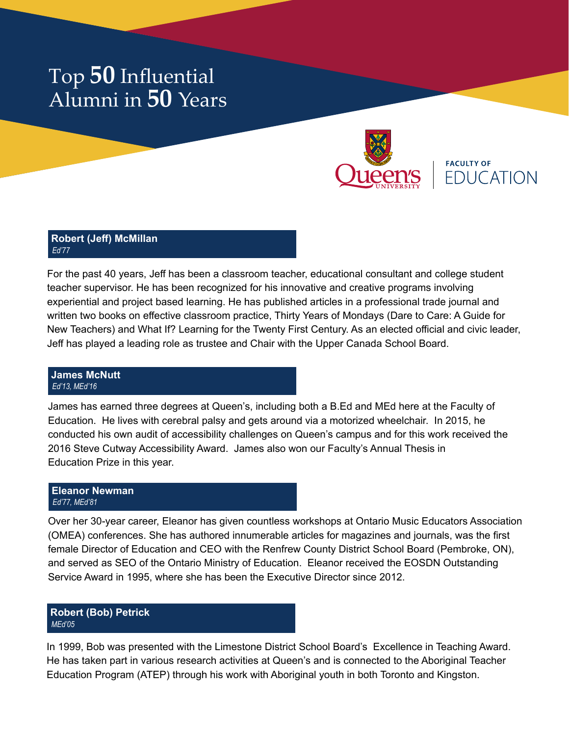

**FACULTY OF EDUCATION** 

#### **Robert (Jeff) McMillan** *Ed'77*

For the past 40 years, Jeff has been a classroom teacher, educational consultant and college student teacher supervisor. He has been recognized for his innovative and creative programs involving experiential and project based learning. He has published articles in a professional trade journal and written two books on effective classroom practice, Thirty Years of Mondays (Dare to Care: A Guide for New Teachers) and What If? Learning for the Twenty First Century. As an elected official and civic leader, Jeff has played a leading role as trustee and Chair with the Upper Canada School Board.

#### **James McNutt** *Ed'13, MEd'16*

James has earned three degrees at Queen's, including both a B.Ed and MEd here at the Faculty of Education. He lives with cerebral palsy and gets around via a motorized wheelchair. In 2015, he conducted his own audit of accessibility challenges on Queen's campus and for this work received the 2016 Steve Cutway Accessibility Award. James also won our Faculty's Annual Thesis in Education Prize in this year.

## **Eleanor Newman** *Ed'77, MEd'81*

Over her 30-year career, Eleanor has given countless workshops at Ontario Music Educators Association (OMEA) conferences. She has authored innumerable articles for magazines and journals, was the first female Director of Education and CEO with the Renfrew County District School Board (Pembroke, ON), and served as SEO of the Ontario Ministry of Education. Eleanor received the EOSDN Outstanding Service Award in 1995, where she has been the Executive Director since 2012.

## **Robert (Bob) Petrick** *MEd'05*

In 1999, Bob was presented with the Limestone District School Board's Excellence in Teaching Award. He has taken part in various research activities at Queen's and is connected to the Aboriginal Teacher Education Program (ATEP) through his work with Aboriginal youth in both Toronto and Kingston.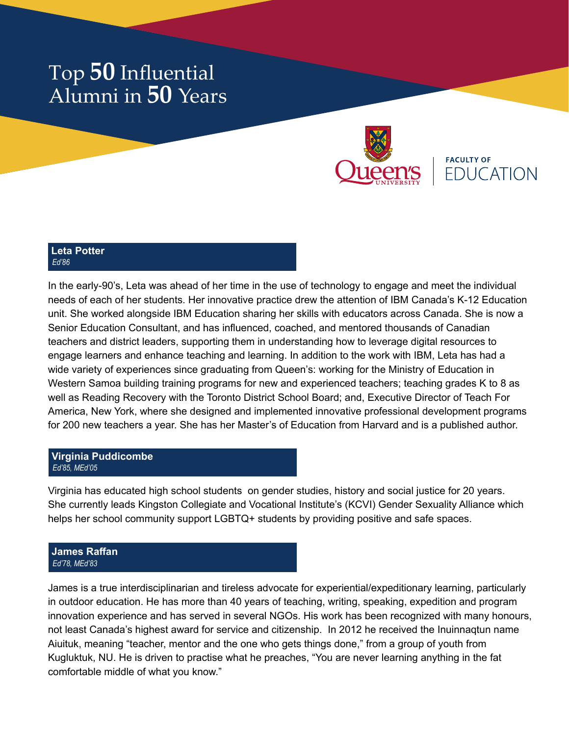

**FACULTY OF FDUCATION** 

#### **Leta Potter** *Ed'86*

In the early-90's, Leta was ahead of her time in the use of technology to engage and meet the individual needs of each of her students. Her innovative practice drew the attention of IBM Canada's K-12 Education unit. She worked alongside IBM Education sharing her skills with educators across Canada. She is now a Senior Education Consultant, and has influenced, coached, and mentored thousands of Canadian teachers and district leaders, supporting them in understanding how to leverage digital resources to engage learners and enhance teaching and learning. In addition to the work with IBM, Leta has had a wide variety of experiences since graduating from Queen's: working for the Ministry of Education in Western Samoa building training programs for new and experienced teachers; teaching grades K to 8 as well as Reading Recovery with the Toronto District School Board; and, Executive Director of Teach For America, New York, where she designed and implemented innovative professional development programs for 200 new teachers a year. She has her Master's of Education from Harvard and is a published author.

## **Virginia Puddicombe** *Ed'85, MEd'05*

Virginia has educated high school students on gender studies, history and social justice for 20 years. She currently leads Kingston Collegiate and Vocational Institute's (KCVI) Gender Sexuality Alliance which helps her school community support LGBTQ+ students by providing positive and safe spaces.

#### **James Raffan** *Ed'78, MEd'83*

James is a true interdisciplinarian and tireless advocate for experiential/expeditionary learning, particularly in outdoor education. He has more than 40 years of teaching, writing, speaking, expedition and program innovation experience and has served in several NGOs. His work has been recognized with many honours, not least Canada's highest award for service and citizenship. In 2012 he received the Inuinnaqtun name Aiuituk, meaning "teacher, mentor and the one who gets things done," from a group of youth from Kugluktuk, NU. He is driven to practise what he preaches, "You are never learning anything in the fat comfortable middle of what you know."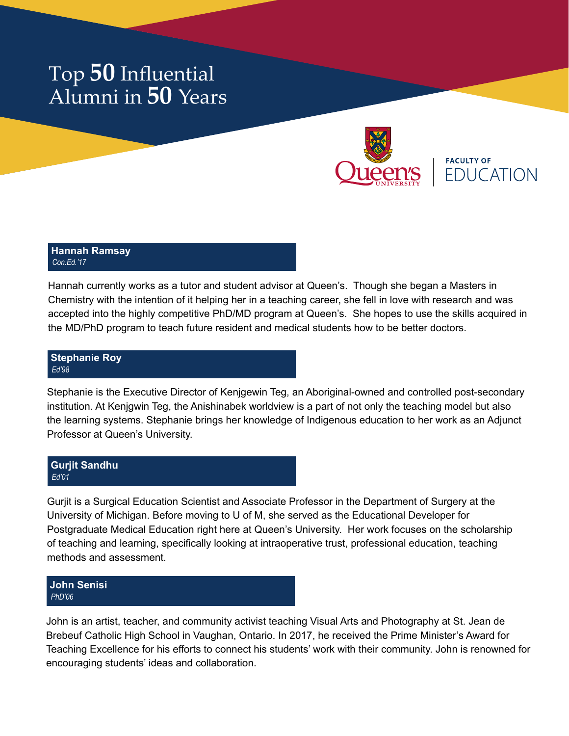

**FACULTY OF EDUCATION** 

#### **Hannah Ramsay** *Con.Ed.'17*

Hannah currently works as a tutor and student advisor at Queen's. Though she began a Masters in Chemistry with the intention of it helping her in a teaching career, she fell in love with research and was accepted into the highly competitive PhD/MD program at Queen's. She hopes to use the skills acquired in the MD/PhD program to teach future resident and medical students how to be better doctors.

## **Stephanie Roy** *Ed'98*

Stephanie is the Executive Director of Kenjgewin Teg, an Aboriginal-owned and controlled post-secondary institution. At Kenjgwin Teg, the Anishinabek worldview is a part of not only the teaching model but also the learning systems. Stephanie brings her knowledge of Indigenous education to her work as an Adjunct Professor at Queen's University.

## **Gurjit Sandhu** *Ed'01*

Gurjit is a Surgical Education Scientist and Associate Professor in the Department of Surgery at the University of Michigan. Before moving to U of M, she served as the Educational Developer for Postgraduate Medical Education right here at Queen's University. Her work focuses on the scholarship of teaching and learning, specifically looking at intraoperative trust, professional education, teaching methods and assessment.

## **John Senisi** *PhD'06*

John is an artist, teacher, and community activist teaching Visual Arts and Photography at St. Jean de Brebeuf Catholic High School in Vaughan, Ontario. In 2017, he received the Prime Minister's Award for Teaching Excellence for his efforts to connect his students' work with their community. John is renowned for encouraging students' ideas and collaboration.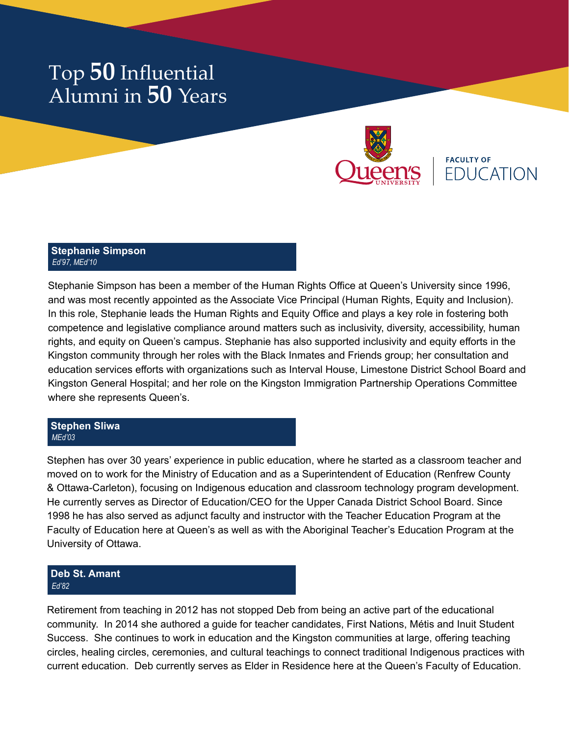

**FACULTY OF FDUCATION** 

#### **Stephanie Simpson** *Ed'97, MEd'10*

Stephanie Simpson has been a member of the Human Rights Office at Queen's University since 1996, and was most recently appointed as the Associate Vice Principal (Human Rights, Equity and Inclusion). In this role, Stephanie leads the Human Rights and Equity Office and plays a key role in fostering both competence and legislative compliance around matters such as inclusivity, diversity, accessibility, human rights, and equity on Queen's campus. Stephanie has also supported inclusivity and equity efforts in the Kingston community through her roles with the Black Inmates and Friends group; her consultation and education services efforts with organizations such as Interval House, Limestone District School Board and Kingston General Hospital; and her role on the Kingston Immigration Partnership Operations Committee where she represents Queen's.

### **Stephen Sliwa** *MEd'03*

Stephen has over 30 years' experience in public education, where he started as a classroom teacher and moved on to work for the Ministry of Education and as a Superintendent of Education (Renfrew County & Ottawa-Carleton), focusing on Indigenous education and classroom technology program development. He currently serves as Director of Education/CEO for the Upper Canada District School Board. Since 1998 he has also served as adjunct faculty and instructor with the Teacher Education Program at the Faculty of Education here at Queen's as well as with the Aboriginal Teacher's Education Program at the University of Ottawa.

## **Deb St. Amant** *Ed'82*

Retirement from teaching in 2012 has not stopped Deb from being an active part of the educational community. In 2014 she authored a guide for teacher candidates, First Nations, Métis and Inuit Student Success. She continues to work in education and the Kingston communities at large, offering teaching circles, healing circles, ceremonies, and cultural teachings to connect traditional Indigenous practices with current education. Deb currently serves as Elder in Residence here at the Queen's Faculty of Education.